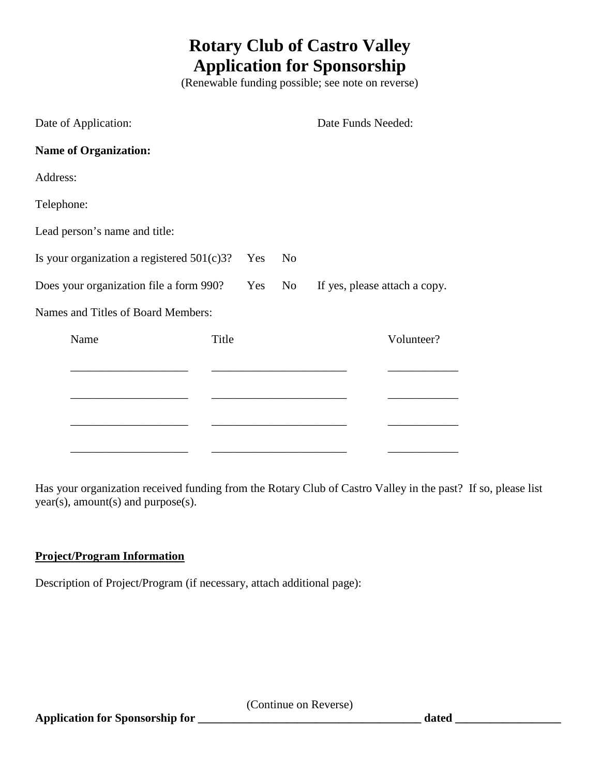## **Rotary Club of Castro Valley Application for Sponsorship**

(Renewable funding possible; see note on reverse)

| Date of Application:                          |       |     |                | Date Funds Needed:            |            |
|-----------------------------------------------|-------|-----|----------------|-------------------------------|------------|
| <b>Name of Organization:</b>                  |       |     |                |                               |            |
| Address:                                      |       |     |                |                               |            |
| Telephone:                                    |       |     |                |                               |            |
| Lead person's name and title:                 |       |     |                |                               |            |
| Is your organization a registered $501(c)3$ ? |       | Yes | N <sub>0</sub> |                               |            |
| Does your organization file a form 990?       |       | Yes | No             | If yes, please attach a copy. |            |
| Names and Titles of Board Members:            |       |     |                |                               |            |
| Name                                          | Title |     |                |                               | Volunteer? |
|                                               |       |     |                |                               |            |
|                                               |       |     |                |                               |            |
|                                               |       |     |                |                               |            |

\_\_\_\_\_\_\_\_\_\_\_\_\_\_\_\_\_\_\_\_ \_\_\_\_\_\_\_\_\_\_\_\_\_\_\_\_\_\_\_\_\_\_\_ \_\_\_\_\_\_\_\_\_\_\_\_

Has your organization received funding from the Rotary Club of Castro Valley in the past? If so, please list year(s), amount(s) and purpose(s).

## **Project/Program Information**

Description of Project/Program (if necessary, attach additional page):

(Continue on Reverse)

**Application for Sponsorship for \_\_\_\_\_\_\_\_\_\_\_\_\_\_\_\_\_\_\_\_\_\_\_\_\_\_\_\_\_\_\_\_\_\_\_\_\_\_ dated \_\_\_\_\_\_\_\_\_\_\_\_\_\_\_\_\_\_**